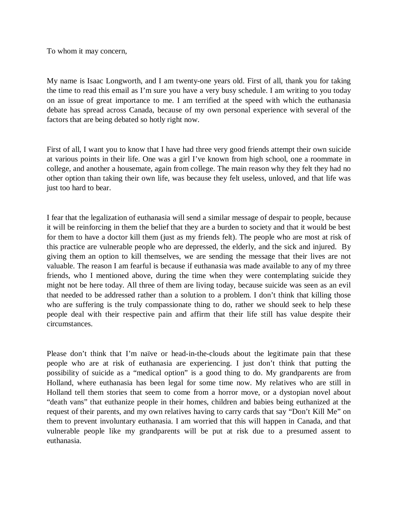To whom it may concern,

My name is Isaac Longworth, and I am twenty-one years old. First of all, thank you for taking the time to read this email as I'm sure you have a very busy schedule. I am writing to you today on an issue of great importance to me. I am terrified at the speed with which the euthanasia debate has spread across Canada, because of my own personal experience with several of the factors that are being debated so hotly right now.

First of all, I want you to know that I have had three very good friends attempt their own suicide at various points in their life. One was a girl I've known from high school, one a roommate in college, and another a housemate, again from college. The main reason why they felt they had no other option than taking their own life, was because they felt useless, unloved, and that life was just too hard to bear.

I fear that the legalization of euthanasia will send a similar message of despair to people, because it will be reinforcing in them the belief that they are a burden to society and that it would be best for them to have a doctor kill them (just as my friends felt). The people who are most at risk of this practice are vulnerable people who are depressed, the elderly, and the sick and injured. By giving them an option to kill themselves, we are sending the message that their lives are not valuable. The reason I am fearful is because if euthanasia was made available to any of my three friends, who I mentioned above, during the time when they were contemplating suicide they might not be here today. All three of them are living today, because suicide was seen as an evil that needed to be addressed rather than a solution to a problem. I don't think that killing those who are suffering is the truly compassionate thing to do, rather we should seek to help these people deal with their respective pain and affirm that their life still has value despite their circumstances.

Please don't think that I'm naïve or head-in-the-clouds about the legitimate pain that these people who are at risk of euthanasia are experiencing. I just don't think that putting the possibility of suicide as a "medical option" is a good thing to do. My grandparents are from Holland, where euthanasia has been legal for some time now. My relatives who are still in Holland tell them stories that seem to come from a horror move, or a dystopian novel about "death vans" that euthanize people in their homes, children and babies being euthanized at the request of their parents, and my own relatives having to carry cards that say "Don't Kill Me" on them to prevent involuntary euthanasia. I am worried that this will happen in Canada, and that vulnerable people like my grandparents will be put at risk due to a presumed assent to euthanasia.